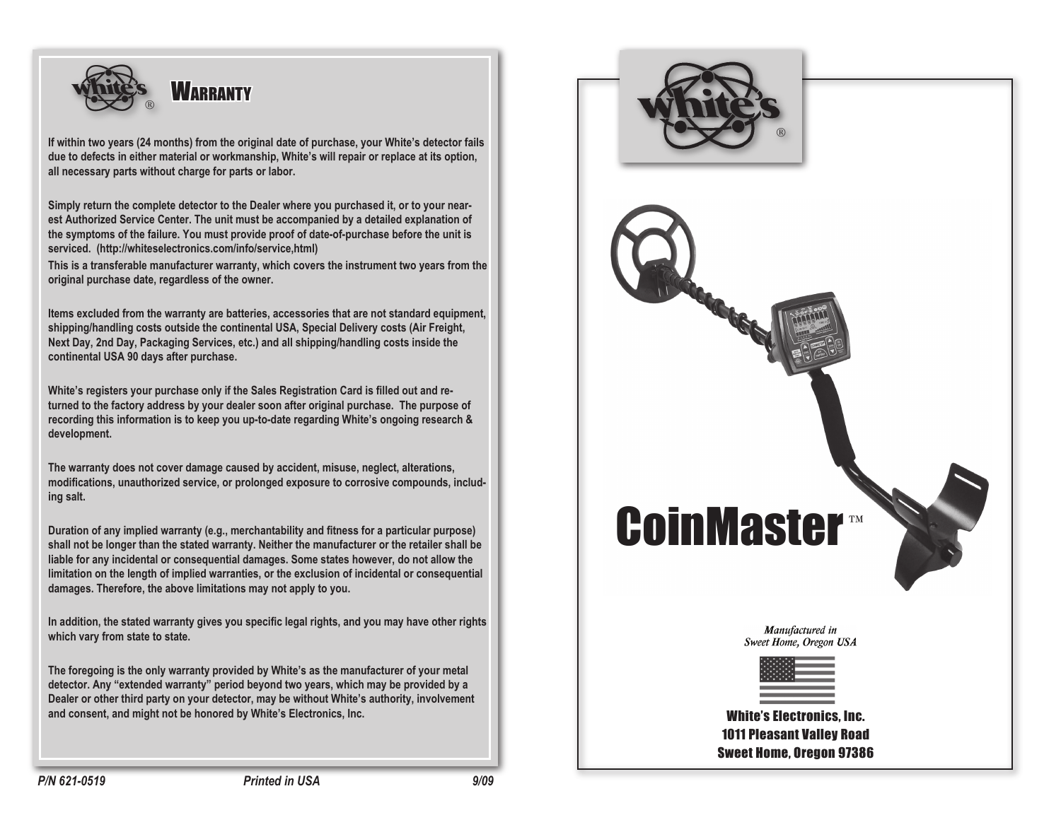

**If within two years (24 months) from the original date of purchase, your White's detector fails due to defects in either material or workmanship, White's will repair or replace at its option, all necessary parts without charge for parts or labor.** 

**Simply return the complete detector to the Dealer where you purchased it, or to your nearest Authorized Service Center. The unit must be accompanied by a detailed explanation of the symptoms of the failure. You must provide proof of date-of-purchase before the unit is serviced. (http://whiteselectronics.com/info/service,html)**

**This is a transferable manufacturer warranty, which covers the instrument two years from the original purchase date, regardless of the owner.** 

**Items excluded from the warranty are batteries, accessories that are not standard equipment, shipping/handling costs outside the continental USA, Special Delivery costs (Air Freight, Next Day, 2nd Day, Packaging Services, etc.) and all shipping/handling costs inside the continental USA 90 days after purchase.**

**White's registers your purchase only if the Sales Registration Card is filled out and returned to the factory address by your dealer soon after original purchase. The purpose of recording this information is to keep you up-to-date regarding White's ongoing research & development.**

**The warranty does not cover damage caused by accident, misuse, neglect, alterations, modifications, unauthorized service, or prolonged exposure to corrosive compounds, including salt.**

**Duration of any implied warranty (e.g., merchantability and fitness for a particular purpose) shall not be longer than the stated warranty. Neither the manufacturer or the retailer shall be liable for any incidental or consequential damages. Some states however, do not allow the limitation on the length of implied warranties, or the exclusion of incidental or consequential damages. Therefore, the above limitations may not apply to you.**

**In addition, the stated warranty gives you specific legal rights, and you may have other rights which vary from state to state.**

**The foregoing is the only warranty provided by White's as the manufacturer of your metal detector. Any "extended warranty" period beyond two years, which may be provided by a Dealer or other third party on your detector, may be without White's authority, involvement and consent, and might not be honored by White's Electronics, Inc.**